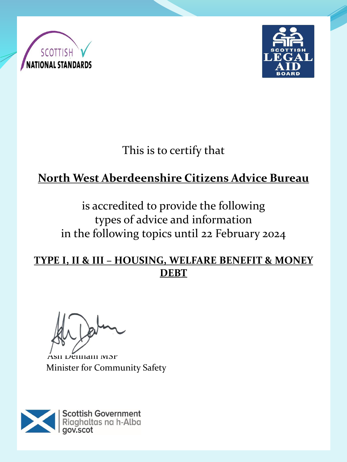



This is to certify that

# **North West Aberdeenshire Citizens Advice Bureau**

is accredited to provide the following types of advice and information in the following topics until 22 February 2024

#### **TYPE I, II & III – HOUSING, WELFARE BENEFIT & MONEY DEBT**

Ash Denham MSP Minister for Community Safety

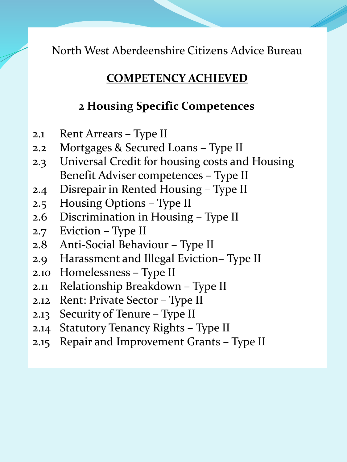#### **COMPETENCY ACHIEVED**

### **2 Housing Specific Competences**

- 2.1 Rent Arrears Type II
- 2.2 Mortgages & Secured Loans Type II
- 2.3 Universal Credit for housing costs and Housing Benefit Adviser competences – Type II
- 2.4 Disrepair in Rented Housing Type II
- 2.5 Housing Options Type II
- 2.6 Discrimination in Housing Type II
- 2.7 Eviction Type II
- 2.8 Anti-Social Behaviour Type II
- 2.9 Harassment and Illegal Eviction– Type II
- 2.10 Homelessness Type II
- 2.11 Relationship Breakdown Type II
- 2.12 Rent: Private Sector Type II
- 2.13 Security of Tenure Type II
- 2.14 Statutory Tenancy Rights Type II
- 2.15 Repair and Improvement Grants Type II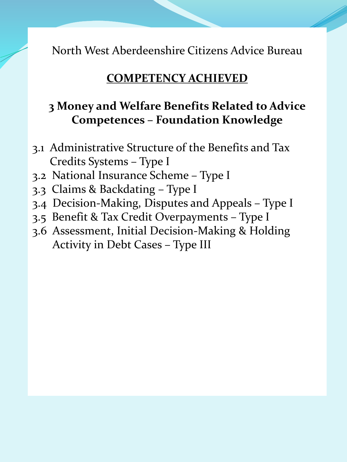#### **COMPETENCY ACHIEVED**

### **3 Money and Welfare Benefits Related to Advice Competences – Foundation Knowledge**

- 3.1 Administrative Structure of the Benefits and Tax Credits Systems – Type I
- 3.2 National Insurance Scheme Type I
- 3.3 Claims & Backdating Type I
- 3.4 Decision-Making, Disputes and Appeals Type I
- 3.5 Benefit & Tax Credit Overpayments Type I
- 3.6 Assessment, Initial Decision-Making & Holding Activity in Debt Cases – Type III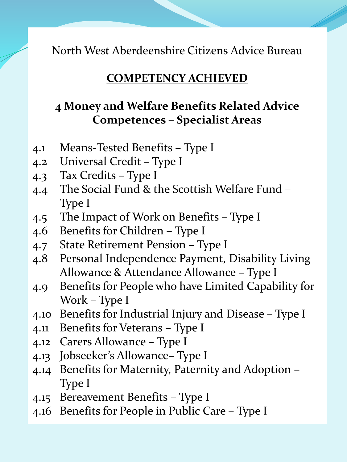#### **COMPETENCY ACHIEVED**

### **4 Money and Welfare Benefits Related Advice Competences – Specialist Areas**

- 4.1 Means-Tested Benefits Type I
- 4.2 Universal Credit Type I
- 4.3 Tax Credits Type I
- 4.4 The Social Fund & the Scottish Welfare Fund Type I
- 4.5 The Impact of Work on Benefits Type I
- 4.6 Benefits for Children Type I
- 4.7 State Retirement Pension Type I
- 4.8 Personal Independence Payment, Disability Living Allowance & Attendance Allowance – Type I
- 4.9 Benefits for People who have Limited Capability for Work – Type I
- 4.10 Benefits for Industrial Injury and Disease Type I
- 4.11 Benefits for Veterans Type I
- 4.12 Carers Allowance Type I
- 4.13 Jobseeker's Allowance– Type I
- 4.14 Benefits for Maternity, Paternity and Adoption Type I
- 4.15 Bereavement Benefits Type I
- 4.16 Benefits for People in Public Care Type I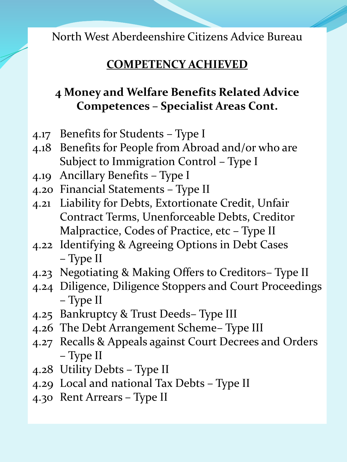## **COMPETENCY ACHIEVED**

# **4 Money and Welfare Benefits Related Advice Competences – Specialist Areas Cont.**

- 4.17 Benefits for Students Type I
- 4.18 Benefits for People from Abroad and/or who are Subject to Immigration Control – Type I
- 4.19 Ancillary Benefits Type I
- 4.20 Financial Statements Type II
- 4.21 Liability for Debts, Extortionate Credit, Unfair Contract Terms, Unenforceable Debts, Creditor Malpractice, Codes of Practice, etc – Type II
- 4.22 Identifying & Agreeing Options in Debt Cases – Type II
- 4.23 Negotiating & Making Offers to Creditors– Type II
- 4.24 Diligence, Diligence Stoppers and Court Proceedings – Type II
- 4.25 Bankruptcy & Trust Deeds– Type III
- 4.26 The Debt Arrangement Scheme– Type III
- 4.27 Recalls & Appeals against Court Decrees and Orders – Type II
- 4.28 Utility Debts Type II
- 4.29 Local and national Tax Debts Type II
- 4.30 Rent Arrears Type II